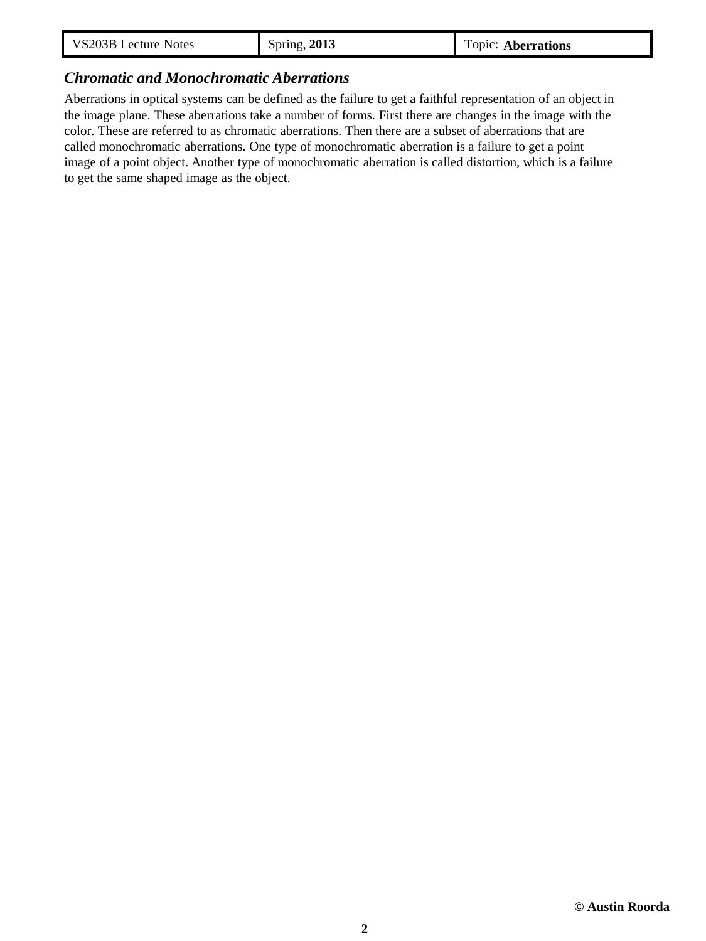| VS203B Lecture Notes | <b>Spring, 2013</b> | Topic: Aberrations |
|----------------------|---------------------|--------------------|
|----------------------|---------------------|--------------------|

## *Chromatic and Monochromatic Aberrations*

Aberrations in optical systems can be defined as the failure to get a faithful representation of an object in the image plane. These aberrations take a number of forms. First there are changes in the image with the color. These are referred to as chromatic aberrations. Then there are a subset of aberrations that are called monochromatic aberrations. One type of monochromatic aberration is a failure to get a point image of a point object. Another type of monochromatic aberration is called distortion, which is a failure to get the same shaped image as the object.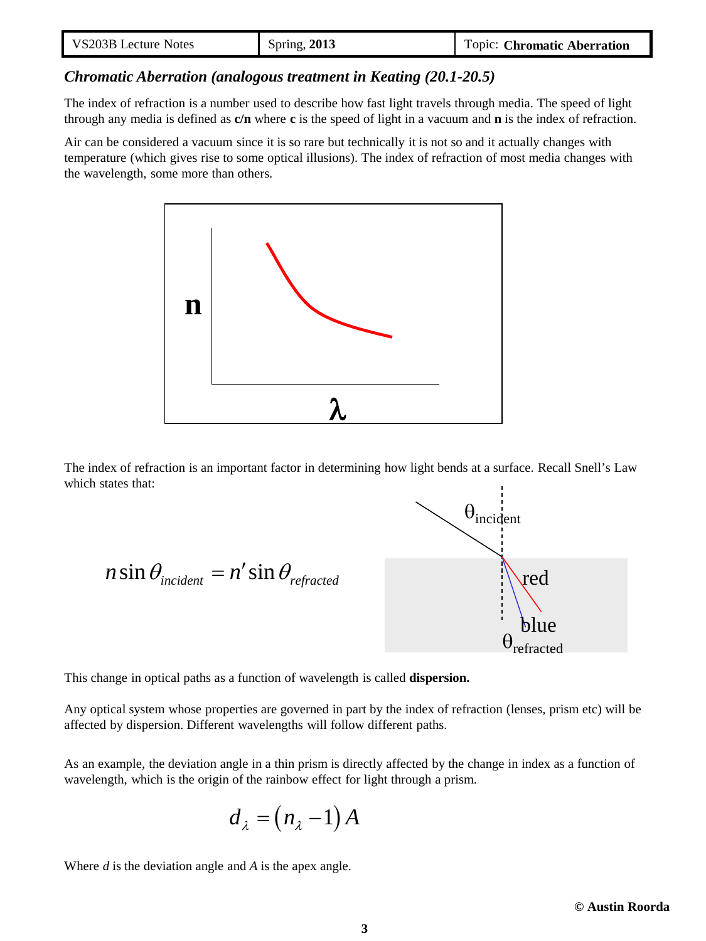| VS203B Lecture Notes | <b>Spring, 2013</b> | Topic: Chromatic Aberration |
|----------------------|---------------------|-----------------------------|
|----------------------|---------------------|-----------------------------|

#### *Chromatic Aberration (analogous treatment in Keating (20.1-20.5)*

The index of refraction is a number used to describe how fast light travels through media. The speed of light through any media is defined as **c/n** where **c** is the speed of light in a vacuum and **n** is the index of refraction.

Air can be considered a vacuum since it is so rare but technically it is not so and it actually changes with temperature (which gives rise to some optical illusions). The index of refraction of most media changes with the wavelength, some more than others.



The index of refraction is an important factor in determining how light bends at a surface. Recall Snell's Law which states that:

$$
n \sin \theta_{\text{incident}} = n' \sin \theta_{\text{refracted}}
$$
\n
$$
\theta_{\text{incident}}
$$
\n
$$
\theta_{\text{refracted}}
$$
\nblue

This change in optical paths as a function of wavelength is called **dispersion.**

Any optical system whose properties are governed in part by the index of refraction (lenses, prism etc) will be affected by dispersion. Different wavelengths will follow different paths.

As an example, the deviation angle in a thin prism is directly affected by the change in index as a function of wavelength, which is the origin of the rainbow effect for light through a prism.

$$
d_{\lambda} = (n_{\lambda} - 1) A
$$

Where *d* is the deviation angle and *A* is the apex angle.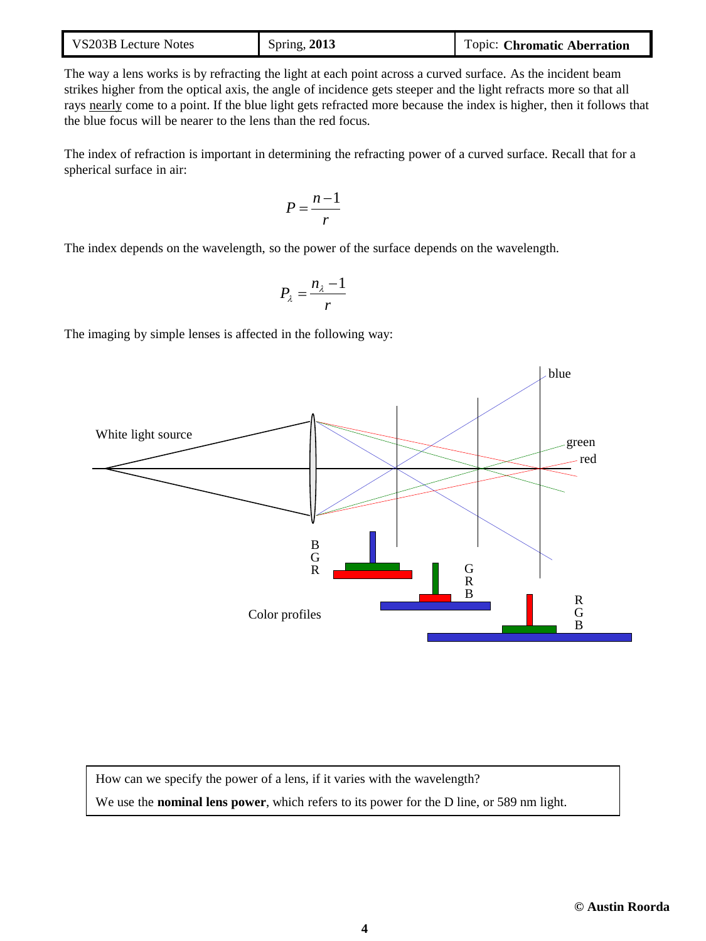| VS203B Lecture Notes | <b>Spring, 2013</b> | Topic: Chromatic Aberration |
|----------------------|---------------------|-----------------------------|
|----------------------|---------------------|-----------------------------|

The way a lens works is by refracting the light at each point across a curved surface. As the incident beam strikes higher from the optical axis, the angle of incidence gets steeper and the light refracts more so that all rays nearly come to a point. If the blue light gets refracted more because the index is higher, then it follows that the blue focus will be nearer to the lens than the red focus.

The index of refraction is important in determining the refracting power of a curved surface. Recall that for a spherical surface in air:

$$
P = \frac{n-1}{r}
$$

The index depends on the wavelength, so the power of the surface depends on the wavelength.

$$
P_{\lambda} = \frac{n_{\lambda} - 1}{r}
$$

The imaging by simple lenses is affected in the following way:



How can we specify the power of a lens, if it varies with the wavelength? We use the **nominal lens power**, which refers to its power for the D line, or 589 nm light.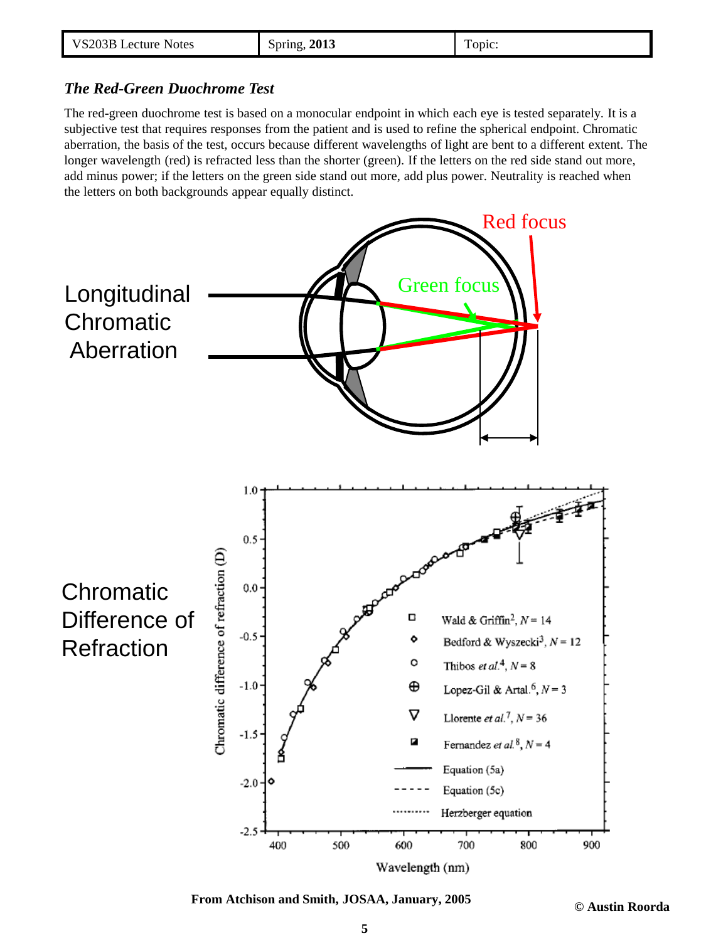| VS203B Lecture Notes | <b>Spring, 2013</b> | Topic: |
|----------------------|---------------------|--------|
|----------------------|---------------------|--------|

## *The Red-Green Duochrome Test*

The red-green duochrome test is based on a monocular endpoint in which each eye is tested separately. It is a subjective test that requires responses from the patient and is used to refine the spherical endpoint. Chromatic aberration, the basis of the test, occurs because different wavelengths of light are bent to a different extent. The longer wavelength (red) is refracted less than the shorter (green). If the letters on the red side stand out more, add minus power; if the letters on the green side stand out more, add plus power. Neutrality is reached when the letters on both backgrounds appear equally distinct.



**From Atchison and Smith, JOSAA, January, 2005**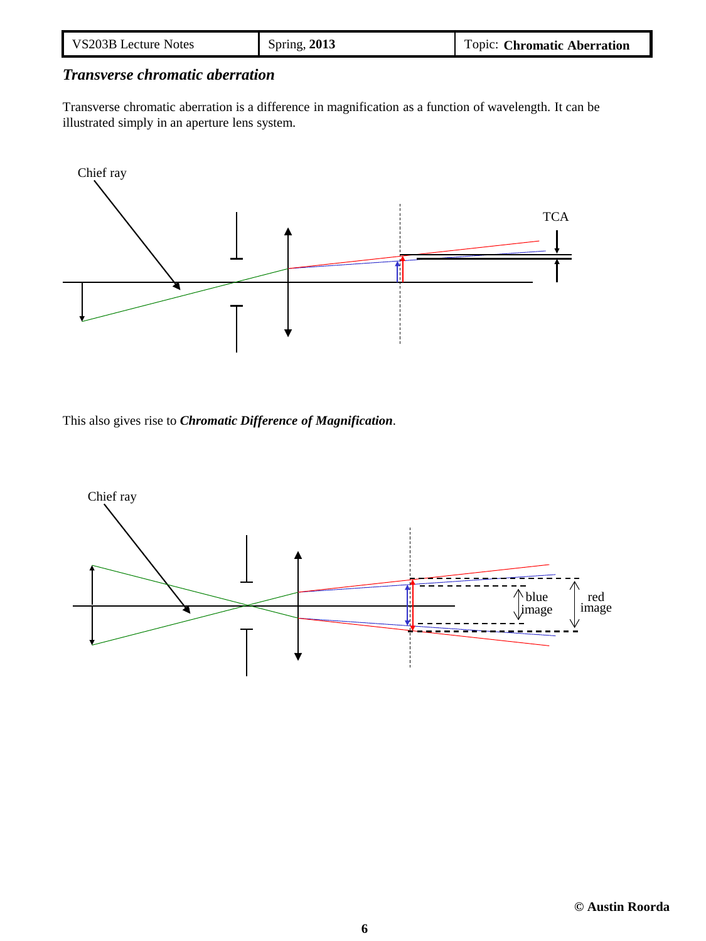| VS203B Lecture Notes | Spring, 2013 | Topic: Chromatic Aberration |
|----------------------|--------------|-----------------------------|
|----------------------|--------------|-----------------------------|

# *Transverse chromatic aberration*

Transverse chromatic aberration is a difference in magnification as a function of wavelength. It can be illustrated simply in an aperture lens system.



This also gives rise to *Chromatic Difference of Magnification*.

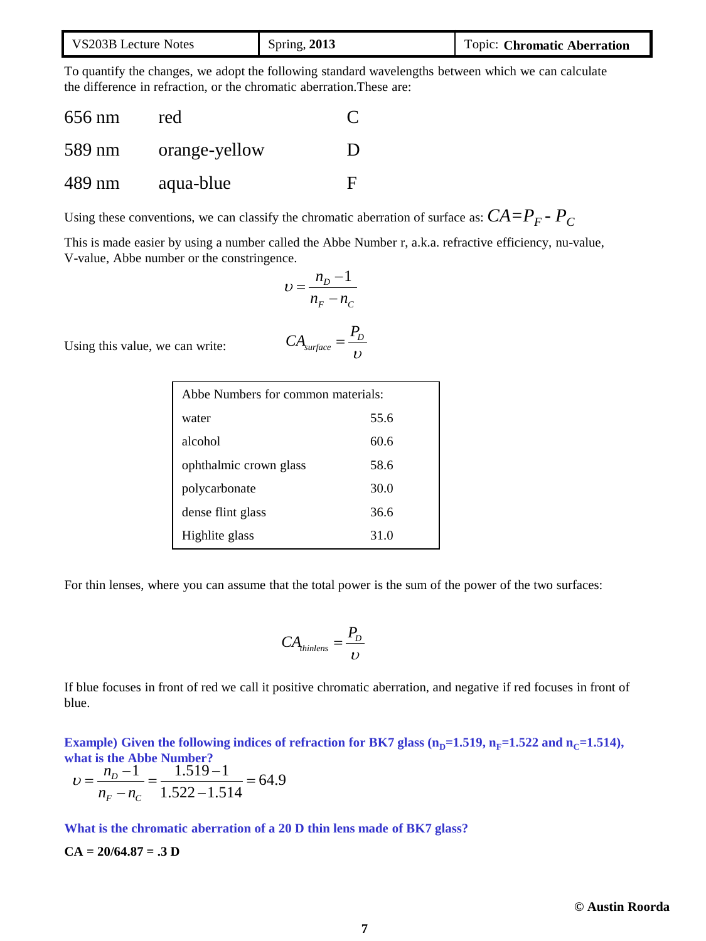| VS203B Lecture Notes | <b>Spring, 2013</b> | Topic: Chromatic Aberration |
|----------------------|---------------------|-----------------------------|
|----------------------|---------------------|-----------------------------|

To quantify the changes, we adopt the following standard wavelengths between which we can calculate the difference in refraction, or the chromatic aberration.These are:

| 656 nm | red           |   |
|--------|---------------|---|
| 589 nm | orange-yellow | Ð |
| 489 nm | aqua-blue     | E |

Using these conventions, we can classify the chromatic aberration of surface as:  $CA = P<sub>F</sub> - P<sub>C</sub>$ 

This is made easier by using a number called the Abbe Number r, a.k.a. refractive efficiency, nu-value, V-value, Abbe number or the constringence.

$$
v = \frac{n_D - 1}{n_F - n_C}
$$

$$
CA_{surface} = \frac{P_D}{v}
$$

Using this value, we can write:

| Abbe Numbers for common materials: |      |  |
|------------------------------------|------|--|
| water                              | 55.6 |  |
| alcohol                            | 60.6 |  |
| ophthalmic crown glass             | 58.6 |  |
| polycarbonate                      | 30.0 |  |
| dense flint glass                  | 36.6 |  |
| Highlite glass                     | 31.0 |  |

For thin lenses, where you can assume that the total power is the sum of the power of the two surfaces:

$$
CA_{\text{thinlens}} = \frac{P_D}{U}
$$

If blue focuses in front of red we call it positive chromatic aberration, and negative if red focuses in front of blue.

**Example)** Given the following indices of refraction for BK7 glass  $(n_p=1.519, n_F=1.522$  and  $n_c=1.514$ ), **what is the Abbe Number?**

$$
\upsilon = \frac{n_D - 1}{n_F - n_C} = \frac{1.519 - 1}{1.522 - 1.514} = 64.9
$$

**What is the chromatic aberration of a 20 D thin lens made of BK7 glass?**

#### **CA = 20/64.87 = .3 D**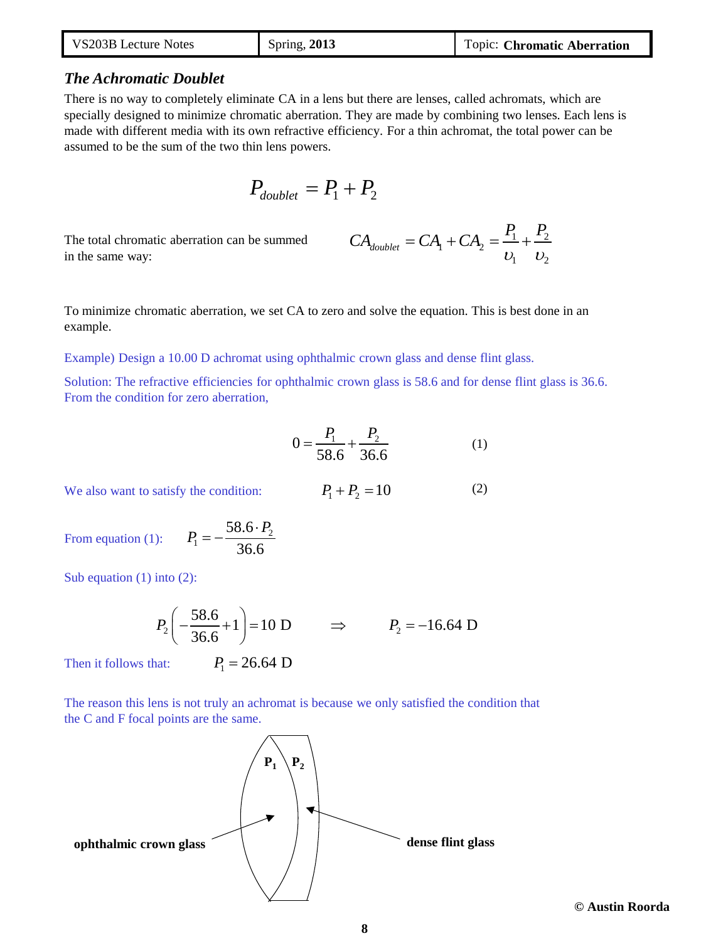| VS203B Lecture Notes | Spring, 2013 | Topic: Chromatic Aberration |
|----------------------|--------------|-----------------------------|
|----------------------|--------------|-----------------------------|

#### *The Achromatic Doublet*

There is no way to completely eliminate CA in a lens but there are lenses, called achromats, which are specially designed to minimize chromatic aberration. They are made by combining two lenses. Each lens is made with different media with its own refractive efficiency. For a thin achromat, the total power can be assumed to be the sum of the two thin lens powers.

$$
P_{\text{doublet}} = P_1 + P_2
$$

The total chromatic aberration can be summed in the same way:

$$
CA_{doublet} = CA_1 + CA_2 = \frac{P_1}{v_1} + \frac{P_2}{v_2}
$$

(2)

To minimize chromatic aberration, we set CA to zero and solve the equation. This is best done in an example.

Example) Design a 10.00 D achromat using ophthalmic crown glass and dense flint glass.

Solution: The refractive efficiencies for ophthalmic crown glass is 58.6 and for dense flint glass is 36.6. From the condition for zero aberration,

$$
0 = \frac{P_1}{58.6} + \frac{P_2}{36.6}
$$
 (1)

We also want to satisfy the condition:  $P_1 + P_2 = 10$ 

From equation (1): 1 58.6  $P_1 = -\frac{58.6 \cdot P_2}{25.6 \cdot P_1}$ 

Sub equation (1) into (2):

$$
P_2\left(-\frac{58.6}{36.6}+1\right) = 10 \text{ D}
$$
  $\Rightarrow$   $P_2 = -16.64 \text{ D}$ 

Then it follows that:  $P_1 = 26.64$  D

36.6

The reason this lens is not truly an achromat is because we only satisfied the condition that the C and F focal points are the same.



**© Austin Roorda**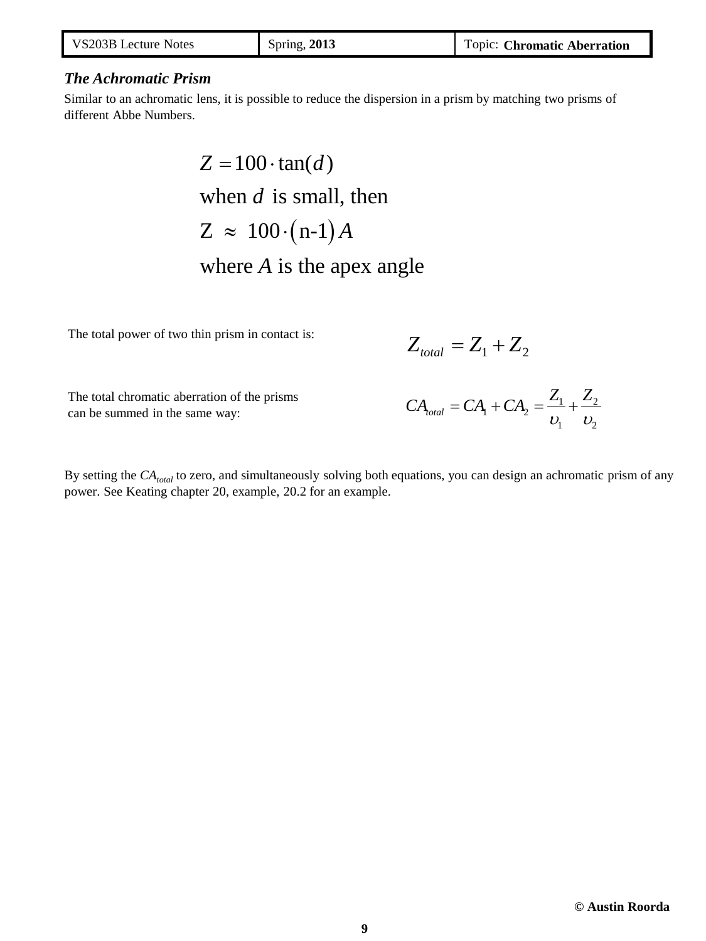| VS203B Lecture Notes | Spring, 2013 | Topic: Chromatic Aberration |
|----------------------|--------------|-----------------------------|
|----------------------|--------------|-----------------------------|

## *The Achromatic Prism*

Similar to an achromatic lens, it is possible to reduce the dispersion in a prism by matching two prisms of different Abbe Numbers.

> $Z \approx 100 \cdot (n-1) A$  $Z = 100 \cdot \tan(d)$ when  $d$  is small, then where  $A$  is the apex angle

The total power of two thin prism in contact is:

$$
Z_{\text{total}} = Z_1 + Z_2
$$

The total chromatic aberration of the prisms can be summed in the same way:

$$
CA_{total} = CA_1 + CA_2 = \frac{Z_1}{v_1} + \frac{Z_2}{v_2}
$$

By setting the  $CA_{total}$  to zero, and simultaneously solving both equations, you can design an achromatic prism of any power. See Keating chapter 20, example, 20.2 for an example.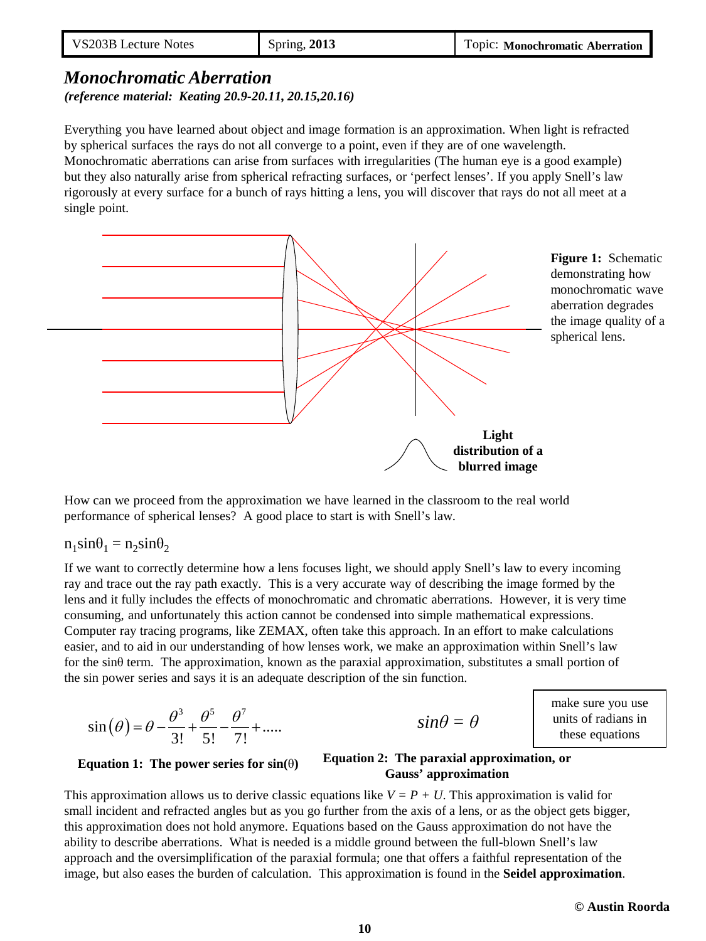# *Monochromatic Aberration (reference material: Keating 20.9-20.11, 20.15,20.16)*

Everything you have learned about object and image formation is an approximation. When light is refracted by spherical surfaces the rays do not all converge to a point, even if they are of one wavelength. Monochromatic aberrations can arise from surfaces with irregularities (The human eye is a good example) but they also naturally arise from spherical refracting surfaces, or 'perfect lenses'. If you apply Snell's law rigorously at every surface for a bunch of rays hitting a lens, you will discover that rays do not all meet at a single point.



How can we proceed from the approximation we have learned in the classroom to the real world performance of spherical lenses? A good place to start is with Snell's law.

 $n_1$ sin $\theta_1 = n_2$ sin $\theta_2$ 

If we want to correctly determine how a lens focuses light, we should apply Snell's law to every incoming ray and trace out the ray path exactly. This is a very accurate way of describing the image formed by the lens and it fully includes the effects of monochromatic and chromatic aberrations. However, it is very time consuming, and unfortunately this action cannot be condensed into simple mathematical expressions. Computer ray tracing programs, like ZEMAX, often take this approach. In an effort to make calculations easier, and to aid in our understanding of how lenses work, we make an approximation within Snell's law for the sinθ term.The approximation, known as the paraxial approximation, substitutes a small portion of the sin power series and says it is an adequate description of the sin function.

$$
\sin(\theta) = \theta - \frac{\theta^3}{3!} + \frac{\theta^5}{5!} - \frac{\theta^7}{7!} + \dots
$$

$$
sin\theta = \theta
$$

make sure you use units of radians in these equations

#### **Equation 2: The paraxial approximation, or**  Equation 1: The power series for  $sin(\theta)$  Equation 2. The paraxial approximation

This approximation allows us to derive classic equations like  $V = P + U$ . This approximation is valid for small incident and refracted angles but as you go further from the axis of a lens, or as the object gets bigger, this approximation does not hold anymore. Equations based on the Gauss approximation do not have the ability to describe aberrations. What is needed is a middle ground between the full-blown Snell's law approach and the oversimplification of the paraxial formula; one that offers a faithful representation of the image, but also eases the burden of calculation. This approximation is found in the **Seidel approximation**.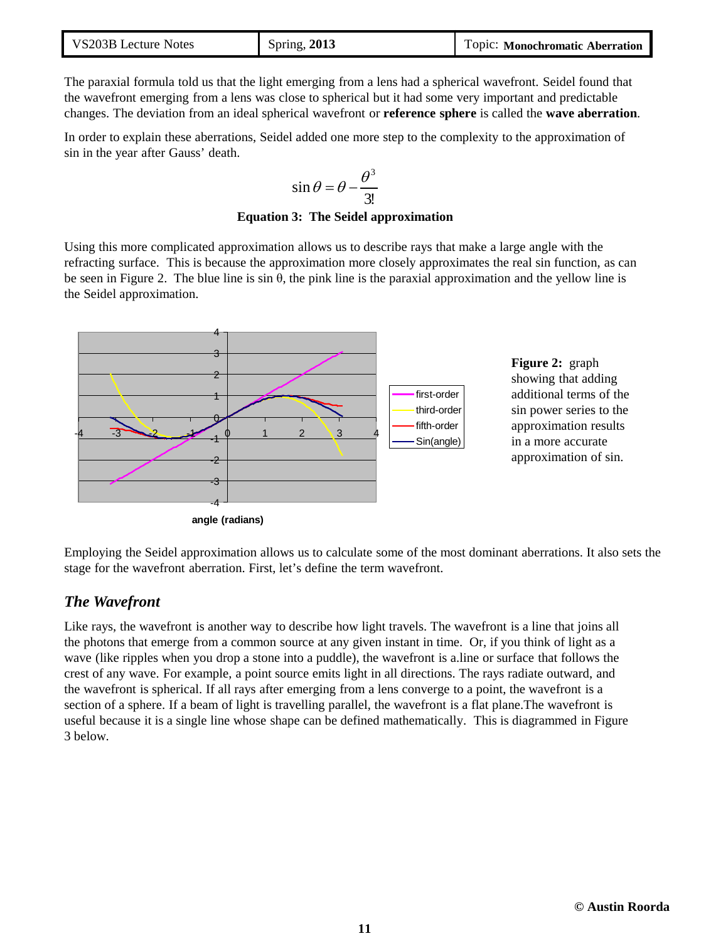| VS203B Lecture Notes | <b>Spring, 2013</b> | Topic: Monochromatic Aberration |
|----------------------|---------------------|---------------------------------|
|----------------------|---------------------|---------------------------------|

The paraxial formula told us that the light emerging from a lens had a spherical wavefront. Seidel found that the wavefront emerging from a lens was close to spherical but it had some very important and predictable changes. The deviation from an ideal spherical wavefront or **reference sphere** is called the **wave aberration**.

In order to explain these aberrations, Seidel added one more step to the complexity to the approximation of sin in the year after Gauss' death.

$$
\sin \theta = \theta - \frac{\theta^3}{3!}
$$

**Equation 3: The Seidel approximation**

Using this more complicated approximation allows us to describe rays that make a large angle with the refracting surface. This is because the approximation more closely approximates the real sin function, as can be seen in Figure 2. The blue line is sin θ, the pink line is the paraxial approximation and the yellow line is the Seidel approximation.



**Figure 2:** graph showing that adding additional terms of the sin power series to the approximation results in a more accurate approximation of sin.

Employing the Seidel approximation allows us to calculate some of the most dominant aberrations. It also sets the stage for the wavefront aberration. First, let's define the term wavefront.

## *The Wavefront*

Like rays, the wavefront is another way to describe how light travels. The wavefront is a line that joins all the photons that emerge from a common source at any given instant in time. Or, if you think of light as a wave (like ripples when you drop a stone into a puddle), the wavefront is a.line or surface that follows the crest of any wave. For example, a point source emits light in all directions. The rays radiate outward, and the wavefront is spherical. If all rays after emerging from a lens converge to a point, the wavefront is a section of a sphere. If a beam of light is travelling parallel, the wavefront is a flat plane.The wavefront is useful because it is a single line whose shape can be defined mathematically. This is diagrammed in Figure 3 below.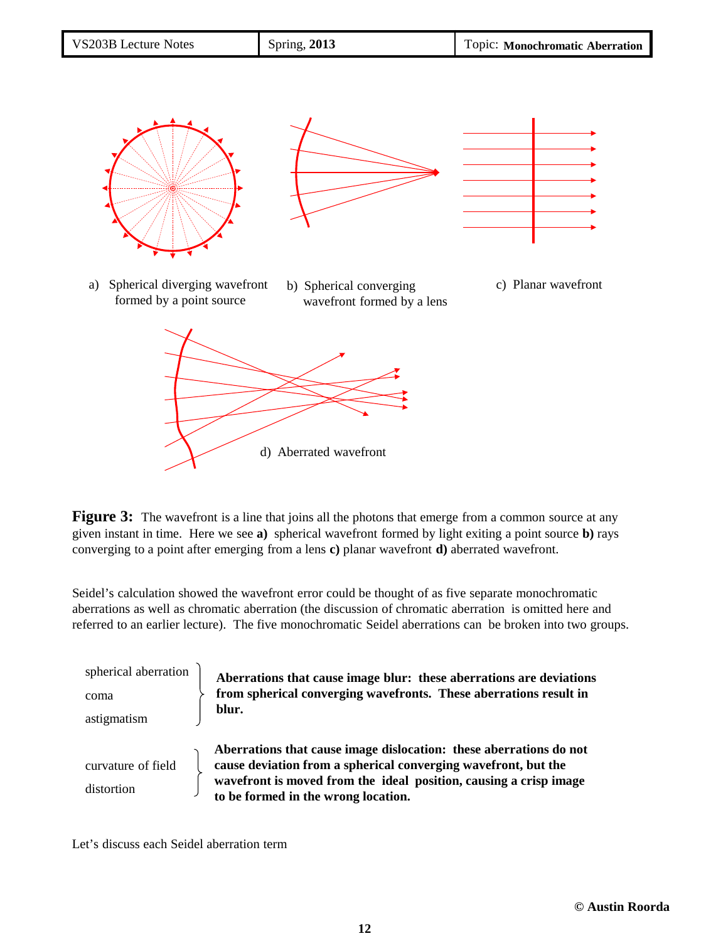| VS203B Lecture Notes | <b>Spring, 2013</b> | Topic: Monochromatic Aberration |
|----------------------|---------------------|---------------------------------|
|                      |                     |                                 |



**Figure 3:** The wavefront is a line that joins all the photons that emerge from a common source at any given instant in time. Here we see **a)** spherical wavefront formed by light exiting a point source **b)** rays converging to a point after emerging from a lens **c)** planar wavefront **d)** aberrated wavefront.

Seidel's calculation showed the wavefront error could be thought of as five separate monochromatic aberrations as well as chromatic aberration (the discussion of chromatic aberration is omitted here and referred to an earlier lecture). The five monochromatic Seidel aberrations can be broken into two groups.

| spherical aberration | Aberrations that cause image blur: these aberrations are deviations                                                                                                                                       |
|----------------------|-----------------------------------------------------------------------------------------------------------------------------------------------------------------------------------------------------------|
| coma                 | from spherical converging wavefronts. These aberrations result in                                                                                                                                         |
| astigmatism          | blur.                                                                                                                                                                                                     |
| curvature of field   | Aberrations that cause image dislocation: these aberrations do not<br>cause deviation from a spherical converging wavefront, but the<br>wavefront is moved from the ideal position, causing a crisp image |
| distortion           | to be formed in the wrong location.                                                                                                                                                                       |

Let's discuss each Seidel aberration term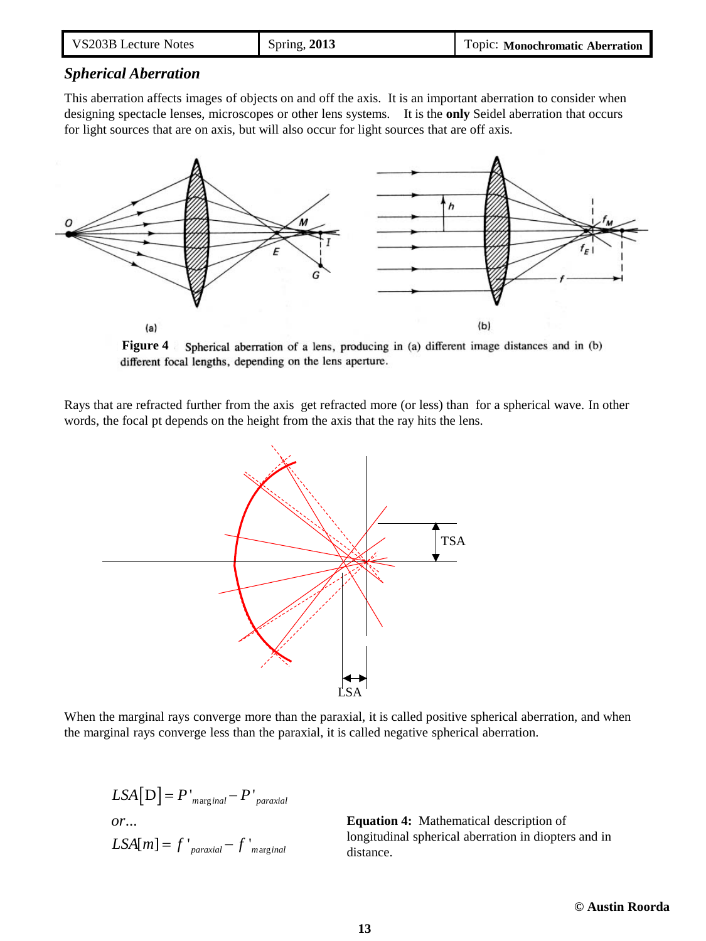| VS203B Lecture Notes | Spring, 2013 | Topic: Monochromatic Aberration |
|----------------------|--------------|---------------------------------|
|----------------------|--------------|---------------------------------|

## *Spherical Aberration*

This aberration affects images of objects on and off the axis. It is an important aberration to consider when designing spectacle lenses, microscopes or other lens systems. It is the **only** Seidel aberration that occurs for light sources that are on axis, but will also occur for light sources that are off axis.



**Figure 4** Spherical aberration of a lens, producing in (a) different image distances and in (b) different focal lengths, depending on the lens aperture.

Rays that are refracted further from the axis get refracted more (or less) than for a spherical wave. In other words, the focal pt depends on the height from the axis that the ray hits the lens.



When the marginal rays converge more than the paraxial, it is called positive spherical aberration, and when the marginal rays converge less than the paraxial, it is called negative spherical aberration.

 $LSA\big[\,{\rm D}\big]$   $=$   $P$   $^{\shortparallel}_{maxginal}$   $P$   $^{\shortparallel}_{maxial}$  $LSA[m] = f'_{\text{paraxial}} - f'_{\text{marginal}}$ ... *or*

**Equation 4:** Mathematical description of longitudinal spherical aberration in diopters and in distance.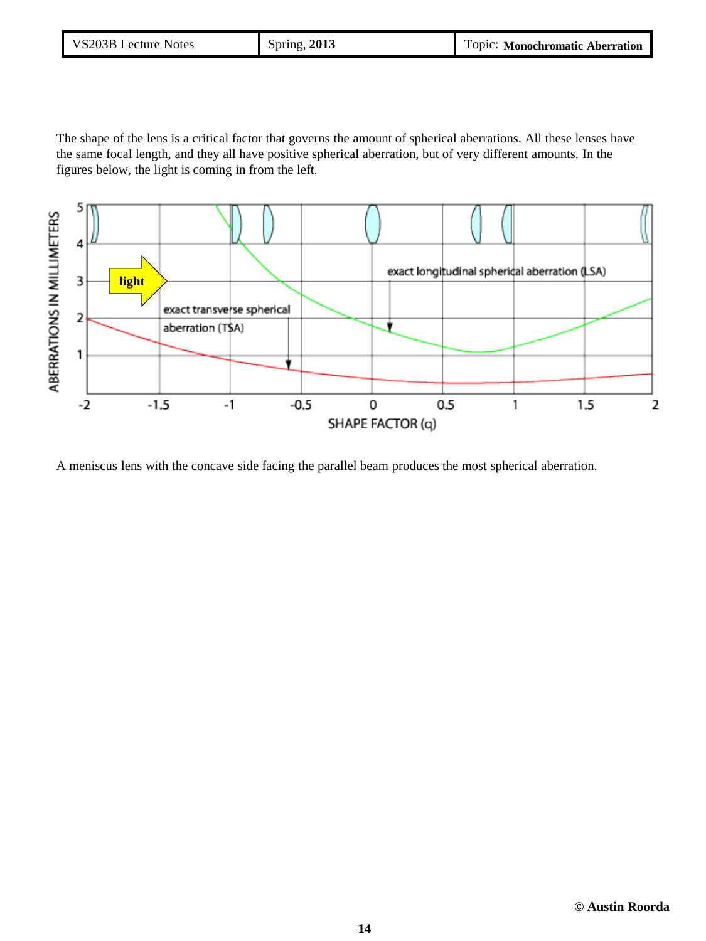| VS203B Lecture Notes | Spring, 2013 | Topic: Monochromatic Aberration |
|----------------------|--------------|---------------------------------|
|----------------------|--------------|---------------------------------|

The shape of the lens is a critical factor that governs the amount of spherical aberrations. All these lenses have the same focal length, and they all have positive spherical aberration, but of very different amounts. In the figures below, the light is coming in from the left.



A meniscus lens with the concave side facing the parallel beam produces the most spherical aberration.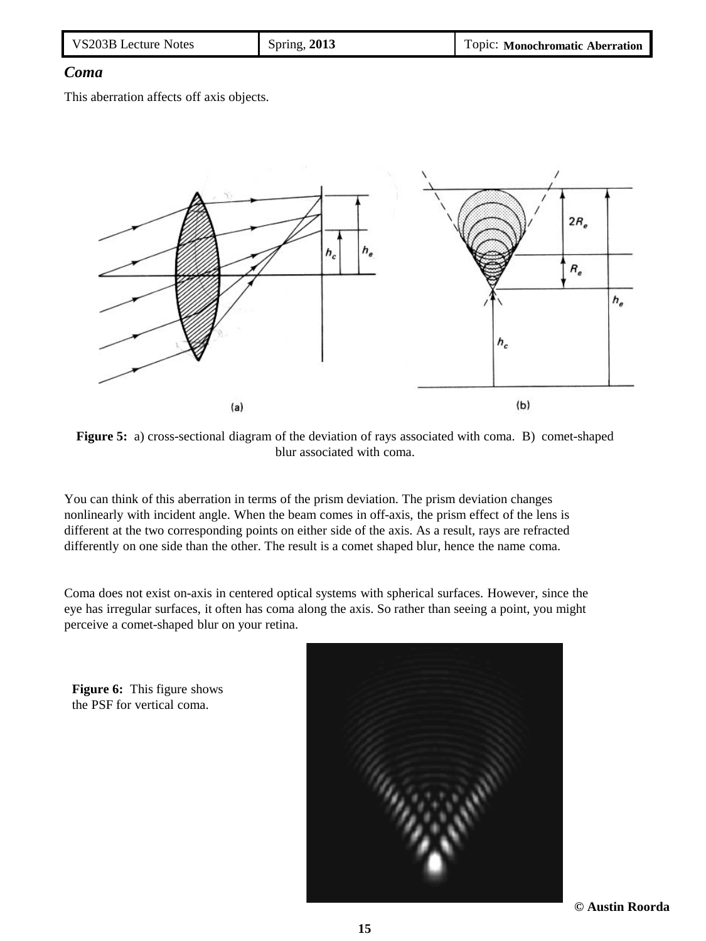| VS203B Lecture Notes | <b>Spring, 2013</b> | Topic: Monochromatic Aberration |
|----------------------|---------------------|---------------------------------|
|----------------------|---------------------|---------------------------------|

## *Coma*

This aberration affects off axis objects.



**Figure 5:** a) cross-sectional diagram of the deviation of rays associated with coma. B) comet-shaped blur associated with coma.

You can think of this aberration in terms of the prism deviation. The prism deviation changes nonlinearly with incident angle. When the beam comes in off-axis, the prism effect of the lens is different at the two corresponding points on either side of the axis. As a result, rays are refracted differently on one side than the other. The result is a comet shaped blur, hence the name coma.

Coma does not exist on-axis in centered optical systems with spherical surfaces. However, since the eye has irregular surfaces, it often has coma along the axis. So rather than seeing a point, you might perceive a comet-shaped blur on your retina.





**© Austin Roorda**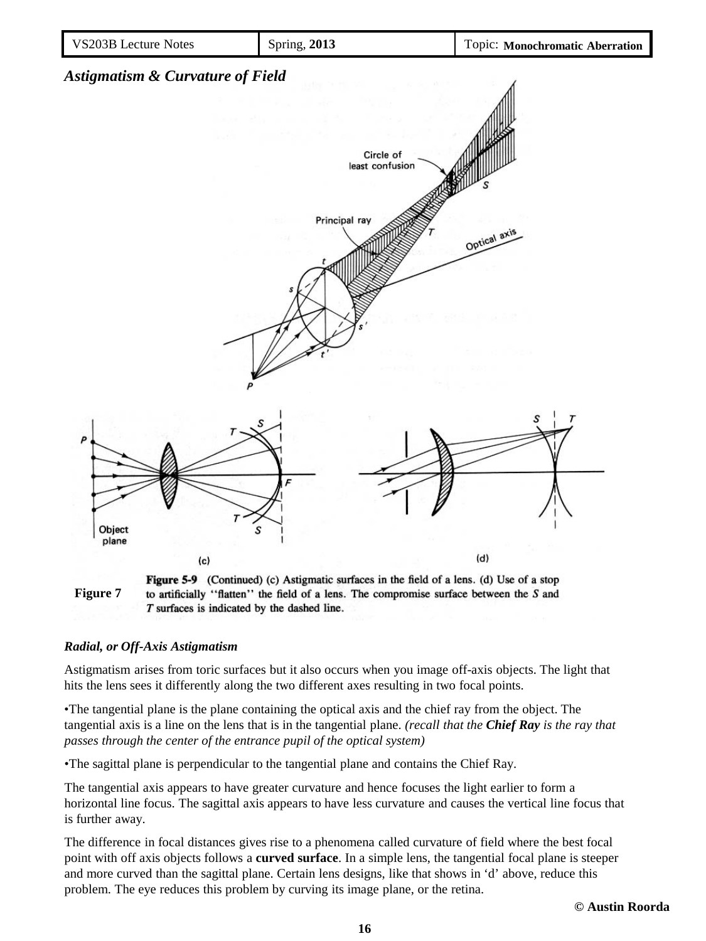



#### *Radial, or Off-Axis Astigmatism*

Astigmatism arises from toric surfaces but it also occurs when you image off-axis objects. The light that hits the lens sees it differently along the two different axes resulting in two focal points.

•The tangential plane is the plane containing the optical axis and the chief ray from the object. The tangential axis is a line on the lens that is in the tangential plane. *(recall that the Chief Ray is the ray that passes through the center of the entrance pupil of the optical system)*

•The sagittal plane is perpendicular to the tangential plane and contains the Chief Ray.

The tangential axis appears to have greater curvature and hence focuses the light earlier to form a horizontal line focus. The sagittal axis appears to have less curvature and causes the vertical line focus that is further away.

The difference in focal distances gives rise to a phenomena called curvature of field where the best focal point with off axis objects follows a **curved surface**. In a simple lens, the tangential focal plane is steeper and more curved than the sagittal plane. Certain lens designs, like that shows in 'd' above, reduce this problem. The eye reduces this problem by curving its image plane, or the retina.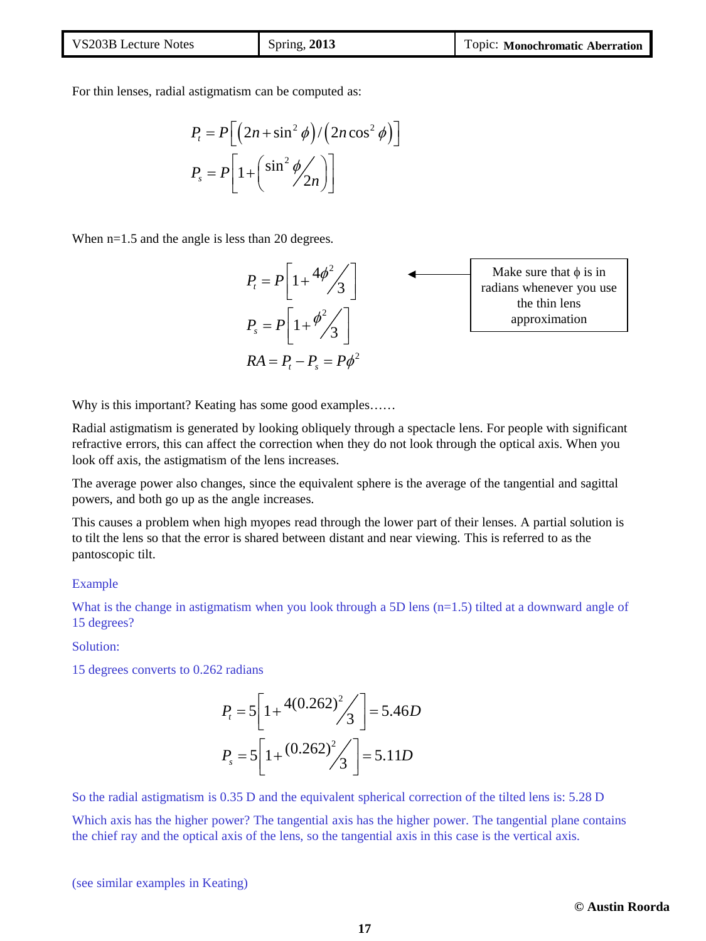| VS203B Lecture Notes | <b>Spring, 2013</b> | Topic: Monochromatic Aberration |
|----------------------|---------------------|---------------------------------|
|----------------------|---------------------|---------------------------------|

For thin lenses, radial astigmatism can be computed as:

$$
P_{t} = P\left[\left(2n + \sin^{2}\phi\right)/\left(2n\cos^{2}\phi\right)\right]
$$

$$
P_{s} = P\left[1 + \left(\sin^{2}\phi/2n\right)\right]
$$

When  $n=1.5$  and the angle is less than 20 degrees.



Why is this important? Keating has some good examples……

Radial astigmatism is generated by looking obliquely through a spectacle lens. For people with significant refractive errors, this can affect the correction when they do not look through the optical axis. When you look off axis, the astigmatism of the lens increases.

The average power also changes, since the equivalent sphere is the average of the tangential and sagittal powers, and both go up as the angle increases.

This causes a problem when high myopes read through the lower part of their lenses. A partial solution is to tilt the lens so that the error is shared between distant and near viewing. This is referred to as the pantoscopic tilt.

#### Example

What is the change in astigmatism when you look through a 5D lens  $(n=1.5)$  tilted at a downward angle of 15 degrees?

Solution:

15 degrees converts to 0.262 radians

$$
P_t = 5 \left[ 1 + \frac{4(0.262)^2}{3} \right] = 5.46D
$$
  

$$
P_s = 5 \left[ 1 + \frac{(0.262)^2}{3} \right] = 5.11D
$$

So the radial astigmatism is 0.35 D and the equivalent spherical correction of the tilted lens is: 5.28 D

Which axis has the higher power? The tangential axis has the higher power. The tangential plane contains the chief ray and the optical axis of the lens, so the tangential axis in this case is the vertical axis.

(see similar examples in Keating)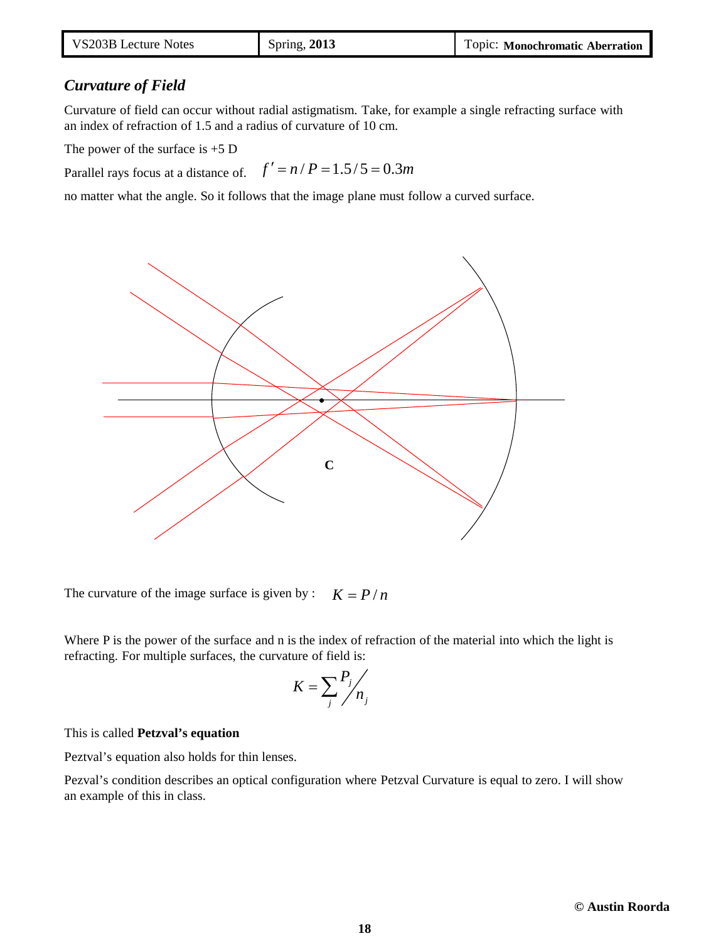| VS203B Lecture Notes | <b>Spring, 2013</b> | Topic: Monochromatic Aberration |
|----------------------|---------------------|---------------------------------|
|----------------------|---------------------|---------------------------------|

## *Curvature of Field*

Curvature of field can occur without radial astigmatism. Take, for example a single refracting surface with an index of refraction of 1.5 and a radius of curvature of 10 cm.

The power of the surface is  $+5$  D

Parallel rays focus at a distance of.  $f' = n / P = 1.5 / 5 = 0.3m$ 

no matter what the angle. So it follows that the image plane must follow a curved surface.



The curvature of the image surface is given by :  $K = P/n$ 

Where P is the power of the surface and n is the index of refraction of the material into which the light is refracting. For multiple surfaces, the curvature of field is:

$$
K = \sum_{j} \frac{P_j}{n_j}
$$

#### This is called **Petzval's equation**

Peztval's equation also holds for thin lenses.

Pezval's condition describes an optical configuration where Petzval Curvature is equal to zero. I will show an example of this in class.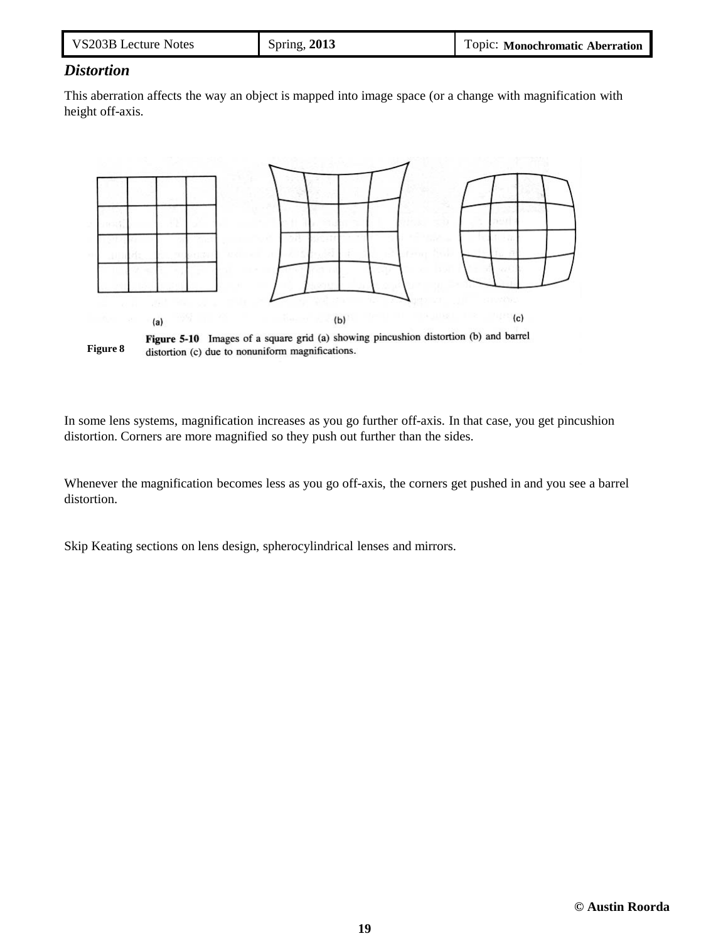| VS203B Lecture Notes | <b>Spring, 2013</b> | Topic: Monochromatic Aberration |
|----------------------|---------------------|---------------------------------|
|----------------------|---------------------|---------------------------------|

# *Distortion*

This aberration affects the way an object is mapped into image space (or a change with magnification with height off-axis.



**Figure 8** distortion (c) due to nonuniform magnifications.

In some lens systems, magnification increases as you go further off-axis. In that case, you get pincushion distortion. Corners are more magnified so they push out further than the sides.

Whenever the magnification becomes less as you go off-axis, the corners get pushed in and you see a barrel distortion.

Skip Keating sections on lens design, spherocylindrical lenses and mirrors.